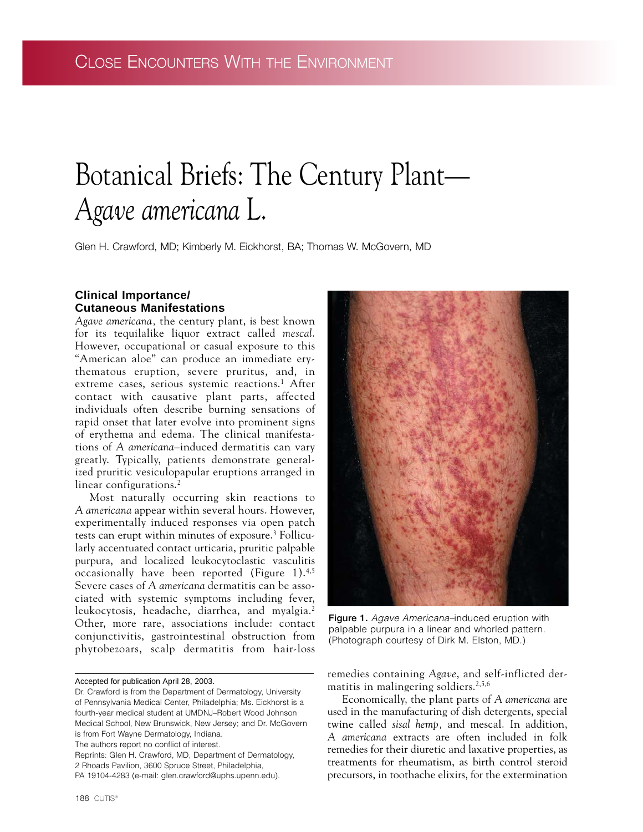# Botanical Briefs: The Century Plant— *Agave americana* L.

Glen H. Crawford, MD; Kimberly M. Eickhorst, BA; Thomas W. McGovern, MD

## **Clinical Importance/ Cutaneous Manifestations**

*Agave americana,* the century plant, is best known for its tequilalike liquor extract called *mescal*. However, occupational or casual exposure to this "American aloe" can produce an immediate erythematous eruption, severe pruritus, and, in extreme cases, serious systemic reactions.<sup>1</sup> After contact with causative plant parts, affected individuals often describe burning sensations of rapid onset that later evolve into prominent signs of erythema and edema. The clinical manifestations of *A americana–*induced dermatitis can vary greatly. Typically, patients demonstrate generalized pruritic vesiculopapular eruptions arranged in linear configurations.<sup>2</sup>

Most naturally occurring skin reactions to *A americana* appear within several hours. However, experimentally induced responses via open patch tests can erupt within minutes of exposure.3 Follicularly accentuated contact urticaria, pruritic palpable purpura, and localized leukocytoclastic vasculitis occasionally have been reported (Figure 1).4,5 Severe cases of *A americana* dermatitis can be associated with systemic symptoms including fever, leukocytosis, headache, diarrhea, and myalgia.<sup>2</sup> Other, more rare, associations include: contact conjunctivitis, gastrointestinal obstruction from phytobezoars, scalp dermatitis from hair-loss

The authors report no conflict of interest.



**Figure 1.** *Agave Americana–*induced eruption with palpable purpura in a linear and whorled pattern. (Photograph courtesy of Dirk M. Elston, MD.)

remedies containing *Agave*, and self-inflicted dermatitis in malingering soldiers.2,5,6

Economically, the plant parts of *A americana* are used in the manufacturing of dish detergents, special twine called *sisal hemp,* and mescal. In addition, *A americana* extracts are often included in folk remedies for their diuretic and laxative properties, as treatments for rheumatism, as birth control steroid precursors, in toothache elixirs, for the extermination

Accepted for publication April 28, 2003.

Dr. Crawford is from the Department of Dermatology, University of Pennsylvania Medical Center, Philadelphia; Ms. Eickhorst is a fourth-year medical student at UMDNJ–Robert Wood Johnson Medical School, New Brunswick, New Jersey; and Dr. McGovern is from Fort Wayne Dermatology, Indiana.

Reprints: Glen H. Crawford, MD, Department of Dermatology, 2 Rhoads Pavilion, 3600 Spruce Street, Philadelphia, PA 19104-4283 (e-mail: glen.crawford@uphs.upenn.edu).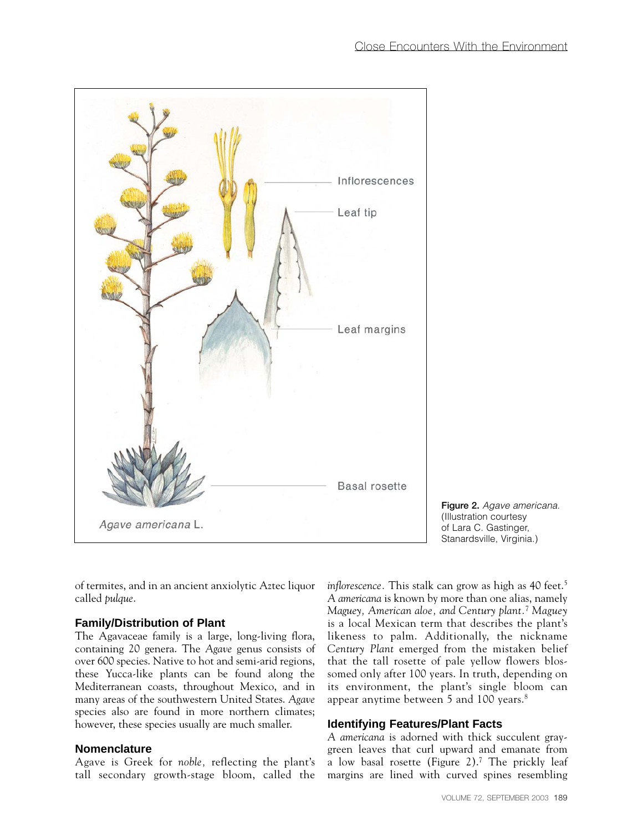

**Figure 2.** *Agave americana.* (Illustration courtesy of Lara C. Gastinger, Stanardsville, Virginia.)

of termites, and in an ancient anxiolytic Aztec liquor called *pulque*.

## **Family/Distribution of Plant**

The Agavaceae family is a large, long-living flora, containing 20 genera. The *Agave* genus consists of over 600 species. Native to hot and semi-arid regions, these Yucca-like plants can be found along the Mediterranean coasts, throughout Mexico, and in many areas of the southwestern United States. *Agave* species also are found in more northern climates; however, these species usually are much smaller.

## **Nomenclature**

Agave is Greek for *noble,* reflecting the plant's tall secondary growth-stage bloom, called the

*inflorescence*. This stalk can grow as high as 40 feet.<sup>5</sup> *A americana* is known by more than one alias, namely *Maguey, American aloe, and Century plant.*<sup>7</sup> *Maguey* is a local Mexican term that describes the plant's likeness to palm. Additionally, the nickname *Century Plant* emerged from the mistaken belief that the tall rosette of pale yellow flowers blossomed only after 100 years. In truth, depending on its environment, the plant's single bloom can appear anytime between 5 and 100 years.8

## **Identifying Features/Plant Facts**

*A americana* is adorned with thick succulent graygreen leaves that curl upward and emanate from a low basal rosette (Figure 2).7 The prickly leaf margins are lined with curved spines resembling